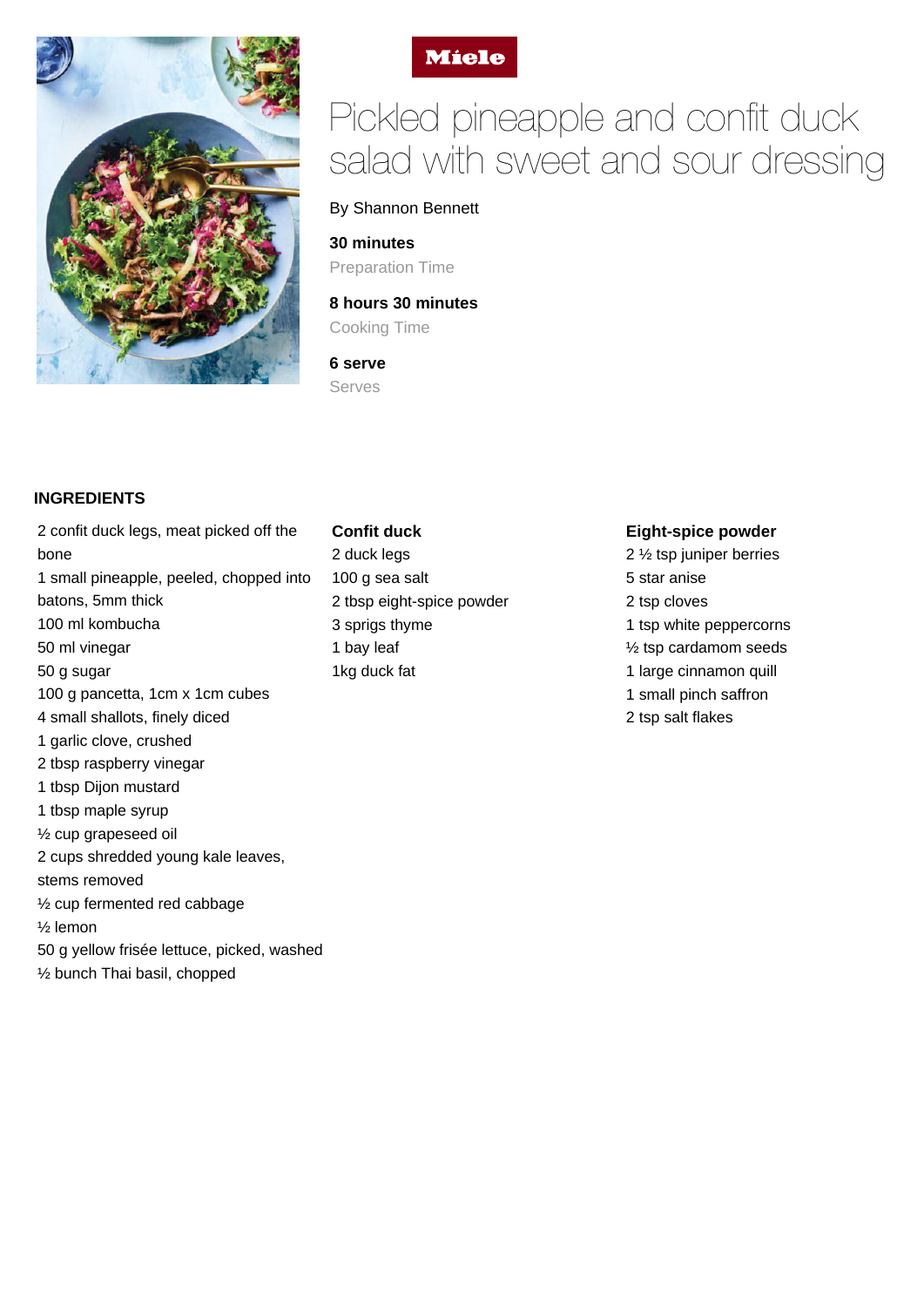



# Pickled pineapple and confit duck salad with sweet and sour dressing

#### By Shannon Bennett

**30 minutes** Preparation Time

**8 hours 30 minutes**

Cooking Time

**6 serve** Serves

#### **INGREDIENTS**

2 confit duck legs, meat picked off the bone 1 small pineapple, peeled, chopped into batons, 5mm thick 100 ml kombucha 50 ml vinegar 50 g sugar 100 g pancetta, 1cm x 1cm cubes 4 small shallots, finely diced 1 garlic clove, crushed 2 tbsp raspberry vinegar 1 tbsp Dijon mustard 1 tbsp maple syrup ½ cup grapeseed oil 2 cups shredded young kale leaves, stems removed ½ cup fermented red cabbage ½ lemon 50 g yellow frisée lettuce, picked, washed ½ bunch Thai basil, chopped

## **Confit duck** 2 duck legs 100 g sea salt 2 tbsp eight-spice powder 3 sprigs thyme 1 bay leaf 1kg duck fat

#### **Eight-spice powder**

2 ½ tsp juniper berries 5 star anise 2 tsp cloves 1 tsp white peppercorns ½ tsp cardamom seeds 1 large cinnamon quill 1 small pinch saffron 2 tsp salt flakes